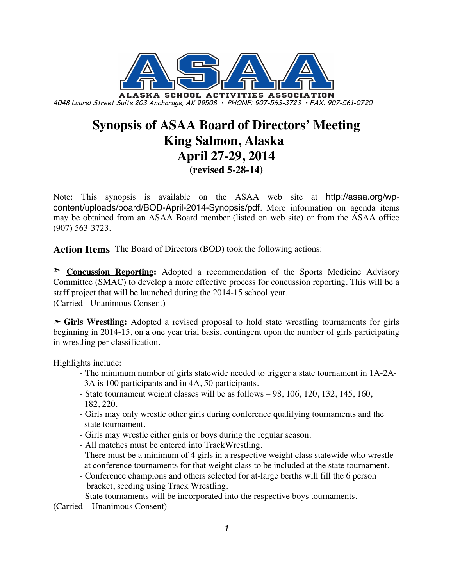

# **Synopsis of ASAA Board of Directors' Meeting King Salmon, Alaska April 27-29, 2014 (revised 5-28-14)**

Note: This synopsis is available on the ASAA web site at http://asaa.org/wpcontent/uploads/board/BOD-April-2014-Synopsis/pdf. More information on agenda items may be obtained from an ASAA Board member (listed on web site) or from the ASAA office (907) 563-3723.

**Action Items** The Board of Directors (BOD) took the following actions:

➣ **Concussion Reporting:** Adopted a recommendation of the Sports Medicine Advisory Committee (SMAC) to develop a more effective process for concussion reporting. This will be a staff project that will be launched during the 2014-15 school year. (Carried - Unanimous Consent)

➣ **Girls Wrestling:** Adopted a revised proposal to hold state wrestling tournaments for girls beginning in 2014-15, on a one year trial basis, contingent upon the number of girls participating in wrestling per classification.

Highlights include:

- The minimum number of girls statewide needed to trigger a state tournament in 1A-2A- 3A is 100 participants and in 4A, 50 participants.
- State tournament weight classes will be as follows 98, 106, 120, 132, 145, 160, 182, 220.
- Girls may only wrestle other girls during conference qualifying tournaments and the state tournament.
- Girls may wrestle either girls or boys during the regular season.
- All matches must be entered into TrackWrestling.
- There must be a minimum of 4 girls in a respective weight class statewide who wrestle at conference tournaments for that weight class to be included at the state tournament.
- Conference champions and others selected for at-large berths will fill the 6 person bracket, seeding using Track Wrestling.
- State tournaments will be incorporated into the respective boys tournaments.

(Carried – Unanimous Consent)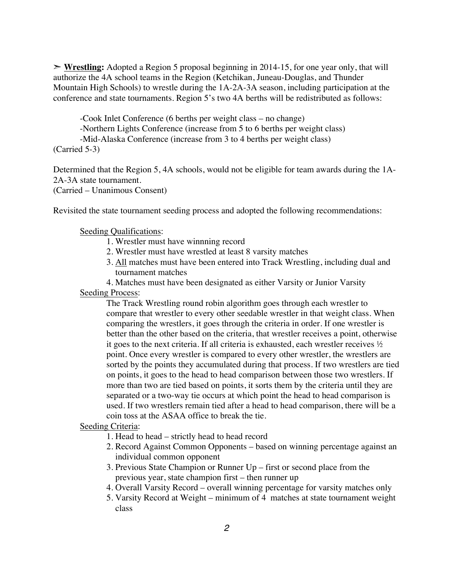➣ **Wrestling:** Adopted a Region 5 proposal beginning in 2014-15, for one year only, that will authorize the 4A school teams in the Region (Ketchikan, Juneau-Douglas, and Thunder Mountain High Schools) to wrestle during the 1A-2A-3A season, including participation at the conference and state tournaments. Region 5's two 4A berths will be redistributed as follows:

-Cook Inlet Conference (6 berths per weight class – no change)

-Northern Lights Conference (increase from 5 to 6 berths per weight class)

-Mid-Alaska Conference (increase from 3 to 4 berths per weight class)

(Carried 5-3)

Determined that the Region 5, 4A schools, would not be eligible for team awards during the 1A-2A-3A state tournament.

(Carried – Unanimous Consent)

Revisited the state tournament seeding process and adopted the following recommendations:

#### Seeding Qualifications:

- 1. Wrestler must have winnning record
- 2. Wrestler must have wrestled at least 8 varsity matches
- 3. All matches must have been entered into Track Wrestling, including dual and tournament matches

4. Matches must have been designated as either Varsity or Junior Varsity Seeding Process:

The Track Wrestling round robin algorithm goes through each wrestler to compare that wrestler to every other seedable wrestler in that weight class. When comparing the wrestlers, it goes through the criteria in order. If one wrestler is better than the other based on the criteria, that wrestler receives a point, otherwise it goes to the next criteria. If all criteria is exhausted, each wrestler receives  $\frac{1}{2}$ point. Once every wrestler is compared to every other wrestler, the wrestlers are sorted by the points they accumulated during that process. If two wrestlers are tied on points, it goes to the head to head comparison between those two wrestlers. If more than two are tied based on points, it sorts them by the criteria until they are separated or a two-way tie occurs at which point the head to head comparison is used. If two wrestlers remain tied after a head to head comparison, there will be a coin toss at the ASAA office to break the tie.

Seeding Criteria:

1. Head to head – strictly head to head record

- 2. Record Against Common Opponents based on winning percentage against an individual common opponent
- 3. Previous State Champion or Runner Up first or second place from the previous year, state champion first – then runner up
- 4. Overall Varsity Record overall winning percentage for varsity matches only
- 5. Varsity Record at Weight minimum of 4 matches at state tournament weight class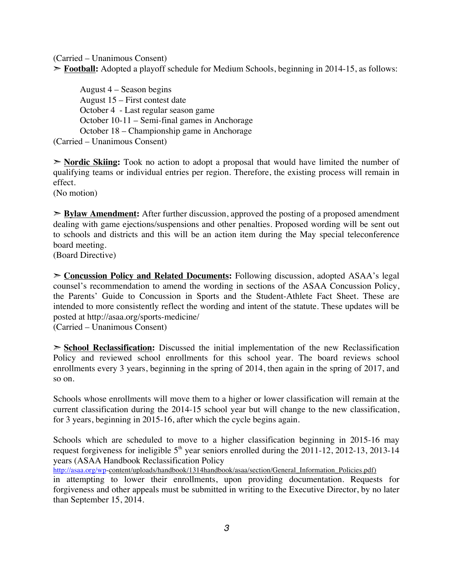(Carried – Unanimous Consent)

➣ **Football:** Adopted a playoff schedule for Medium Schools, beginning in 2014-15, as follows:

August 4 – Season begins August 15 – First contest date October 4 - Last regular season game October 10-11 – Semi-final games in Anchorage October 18 – Championship game in Anchorage (Carried – Unanimous Consent)

➣ **Nordic Skiing:** Took no action to adopt a proposal that would have limited the number of qualifying teams or individual entries per region. Therefore, the existing process will remain in effect.

(No motion)

➣ **Bylaw Amendment:** After further discussion, approved the posting of a proposed amendment dealing with game ejections/suspensions and other penalties. Proposed wording will be sent out to schools and districts and this will be an action item during the May special teleconference board meeting.

(Board Directive)

➣ **Concussion Policy and Related Documents:** Following discussion, adopted ASAA's legal counsel's recommendation to amend the wording in sections of the ASAA Concussion Policy, the Parents' Guide to Concussion in Sports and the Student-Athlete Fact Sheet. These are intended to more consistently reflect the wording and intent of the statute. These updates will be posted at http://asaa.org/sports-medicine/

(Carried – Unanimous Consent)

➣ **School Reclassification:** Discussed the initial implementation of the new Reclassification Policy and reviewed school enrollments for this school year. The board reviews school enrollments every 3 years, beginning in the spring of 2014, then again in the spring of 2017, and so on.

Schools whose enrollments will move them to a higher or lower classification will remain at the current classification during the 2014-15 school year but will change to the new classification, for 3 years, beginning in 2015-16, after which the cycle begins again.

Schools which are scheduled to move to a higher classification beginning in 2015-16 may request forgiveness for ineligible  $5<sup>th</sup>$  year seniors enrolled during the 2011-12, 2012-13, 2013-14 years (ASAA Handbook Reclassification Policy

http://asaa.org/wp-content/uploads/handbook/1314handbook/asaa/section/General\_Information\_Policies.pdf)

in attempting to lower their enrollments, upon providing documentation. Requests for forgiveness and other appeals must be submitted in writing to the Executive Director, by no later than September 15, 2014.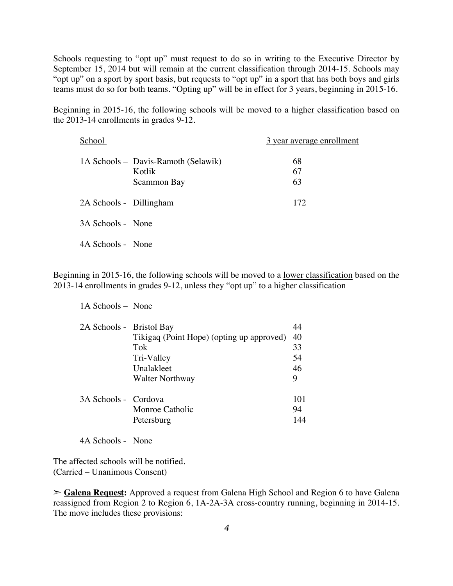Schools requesting to "opt up" must request to do so in writing to the Executive Director by September 15, 2014 but will remain at the current classification through 2014-15. Schools may "opt up" on a sport by sport basis, but requests to "opt up" in a sport that has both boys and girls teams must do so for both teams. "Opting up" will be in effect for 3 years, beginning in 2015-16.

Beginning in 2015-16, the following schools will be moved to a higher classification based on the 2013-14 enrollments in grades 9-12.

| School                  |                                                              | 3 year average enrollment |
|-------------------------|--------------------------------------------------------------|---------------------------|
|                         | 1A Schools – Davis-Ramoth (Selawik)<br>Kotlik<br>Scammon Bay | 68<br>67<br>63            |
| 2A Schools - Dillingham |                                                              | 172                       |
| 3A Schools - None       |                                                              |                           |
| 4A Schools - None       |                                                              |                           |

Beginning in 2015-16, the following schools will be moved to a lower classification based on the 2013-14 enrollments in grades 9-12, unless they "opt up" to a higher classification

1A Schools – None

| 2A Schools - Bristol Bay |                                           | 44  |
|--------------------------|-------------------------------------------|-----|
|                          | Tikigaq (Point Hope) (opting up approved) | 40  |
|                          | Tok                                       | 33  |
|                          | Tri-Valley                                | 54  |
|                          | Unalakleet                                | 46  |
|                          | <b>Walter Northway</b>                    | 9   |
| 3A Schools - Cordova     |                                           | 101 |
|                          | Monroe Catholic                           | 94  |
|                          | Petersburg                                | 144 |

4A Schools - None

The affected schools will be notified. (Carried – Unanimous Consent)

➣ **Galena Request:** Approved a request from Galena High School and Region 6 to have Galena reassigned from Region 2 to Region 6, 1A-2A-3A cross-country running, beginning in 2014-15. The move includes these provisions: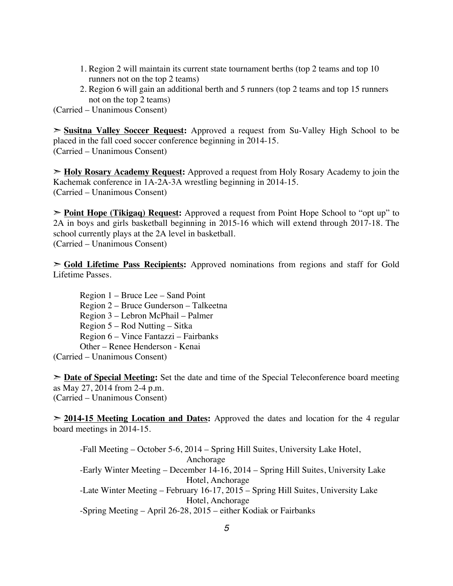- 1. Region 2 will maintain its current state tournament berths (top 2 teams and top 10 runners not on the top 2 teams)
- 2. Region 6 will gain an additional berth and 5 runners (top 2 teams and top 15 runners not on the top 2 teams)

(Carried – Unanimous Consent)

➣ **Susitna Valley Soccer Request:** Approved a request from Su-Valley High School to be placed in the fall coed soccer conference beginning in 2014-15. (Carried – Unanimous Consent)

➣ **Holy Rosary Academy Request:** Approved a request from Holy Rosary Academy to join the Kachemak conference in 1A-2A-3A wrestling beginning in 2014-15. (Carried – Unanimous Consent)

➣ **Point Hope (Tikigaq) Request:** Approved a request from Point Hope School to "opt up" to 2A in boys and girls basketball beginning in 2015-16 which will extend through 2017-18. The school currently plays at the 2A level in basketball. (Carried – Unanimous Consent)

➣ **Gold Lifetime Pass Recipients:** Approved nominations from regions and staff for Gold Lifetime Passes.

Region 1 – Bruce Lee – Sand Point Region 2 – Bruce Gunderson – Talkeetna Region 3 – Lebron McPhail – Palmer Region 5 – Rod Nutting – Sitka Region 6 – Vince Fantazzi – Fairbanks Other – Renee Henderson - Kenai (Carried – Unanimous Consent)

➣ **Date of Special Meeting:** Set the date and time of the Special Teleconference board meeting as May 27, 2014 from 2-4 p.m. (Carried – Unanimous Consent)

➣ **2014-15 Meeting Location and Dates:** Approved the dates and location for the 4 regular board meetings in 2014-15.

-Fall Meeting – October 5-6, 2014 – Spring Hill Suites, University Lake Hotel, Anchorage -Early Winter Meeting – December 14-16, 2014 – Spring Hill Suites, University Lake Hotel, Anchorage -Late Winter Meeting – February 16-17, 2015 – Spring Hill Suites, University Lake Hotel, Anchorage -Spring Meeting – April 26-28, 2015 – either Kodiak or Fairbanks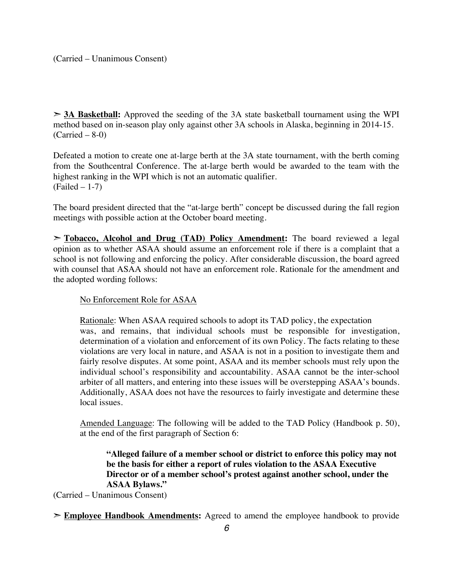➣ **3A Basketball:** Approved the seeding of the 3A state basketball tournament using the WPI method based on in-season play only against other 3A schools in Alaska, beginning in 2014-15.  $(Carried – 8-0)$ 

Defeated a motion to create one at-large berth at the 3A state tournament, with the berth coming from the Southcentral Conference. The at-large berth would be awarded to the team with the highest ranking in the WPI which is not an automatic qualifier. (Failed – 1-7)

The board president directed that the "at-large berth" concept be discussed during the fall region meetings with possible action at the October board meeting.

➣ **Tobacco, Alcohol and Drug (TAD) Policy Amendment:** The board reviewed a legal opinion as to whether ASAA should assume an enforcement role if there is a complaint that a school is not following and enforcing the policy. After considerable discussion, the board agreed with counsel that ASAA should not have an enforcement role. Rationale for the amendment and the adopted wording follows:

No Enforcement Role for ASAA

Rationale: When ASAA required schools to adopt its TAD policy, the expectation was, and remains, that individual schools must be responsible for investigation, determination of a violation and enforcement of its own Policy. The facts relating to these violations are very local in nature, and ASAA is not in a position to investigate them and fairly resolve disputes. At some point, ASAA and its member schools must rely upon the individual school's responsibility and accountability. ASAA cannot be the inter-school arbiter of all matters, and entering into these issues will be overstepping ASAA's bounds. Additionally, ASAA does not have the resources to fairly investigate and determine these local issues.

Amended Language: The following will be added to the TAD Policy (Handbook p. 50), at the end of the first paragraph of Section 6:

**"Alleged failure of a member school or district to enforce this policy may not be the basis for either a report of rules violation to the ASAA Executive Director or of a member school's protest against another school, under the ASAA Bylaws."**

(Carried – Unanimous Consent)

➣ **Employee Handbook Amendments:** Agreed to amend the employee handbook to provide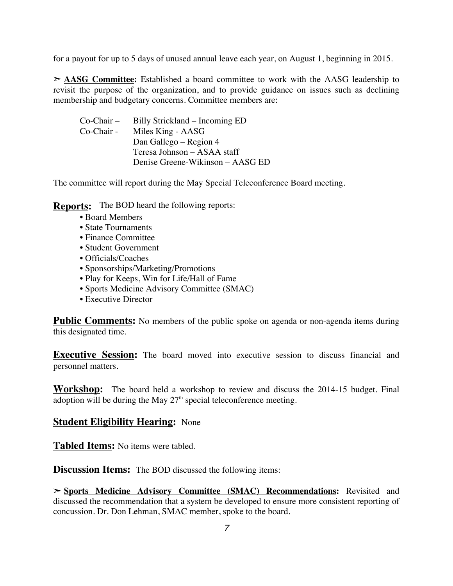for a payout for up to 5 days of unused annual leave each year, on August 1, beginning in 2015.

➣ **AASG Committee:** Established a board committee to work with the AASG leadership to revisit the purpose of the organization, and to provide guidance on issues such as declining membership and budgetary concerns. Committee members are:

| Billy Strickland – Incoming ED   |
|----------------------------------|
| Miles King - AASG                |
| Dan Gallego – Region 4           |
| Teresa Johnson – ASAA staff      |
| Denise Greene-Wikinson – AASG ED |
|                                  |

The committee will report during the May Special Teleconference Board meeting.

**Reports:** The BOD heard the following reports:

- Board Members
- State Tournaments
- Finance Committee
- Student Government
- Officials/Coaches
- Sponsorships/Marketing/Promotions
- Play for Keeps, Win for Life/Hall of Fame
- Sports Medicine Advisory Committee (SMAC)
- Executive Director

**Public Comments:** No members of the public spoke on agenda or non-agenda items during this designated time.

**Executive Session:** The board moved into executive session to discuss financial and personnel matters.

**Workshop:** The board held a workshop to review and discuss the 2014-15 budget. Final adoption will be during the May  $27<sup>th</sup>$  special teleconference meeting.

#### **Student Eligibility Hearing:** None

**Tabled Items:** No items were tabled.

**Discussion Items:** The BOD discussed the following items:

➣ **Sports Medicine Advisory Committee (SMAC) Recommendations:** Revisited and discussed the recommendation that a system be developed to ensure more consistent reporting of concussion. Dr. Don Lehman, SMAC member, spoke to the board.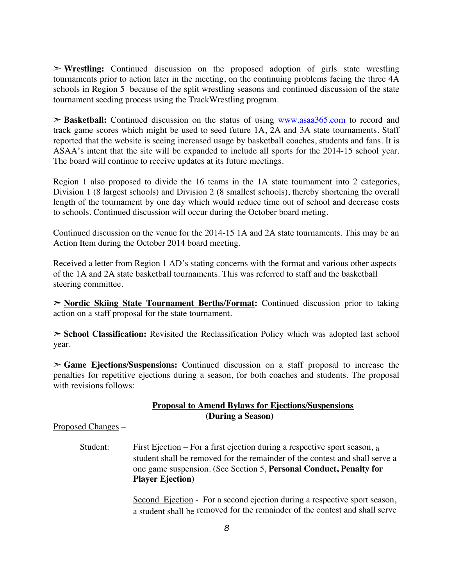➣ **Wrestling:** Continued discussion on the proposed adoption of girls state wrestling tournaments prior to action later in the meeting, on the continuing problems facing the three 4A schools in Region 5 because of the split wrestling seasons and continued discussion of the state tournament seeding process using the TrackWrestling program.

➣ **Basketball:** Continued discussion on the status of using www.asaa365.com to record and track game scores which might be used to seed future 1A, 2A and 3A state tournaments. Staff reported that the website is seeing increased usage by basketball coaches, students and fans. It is ASAA's intent that the site will be expanded to include all sports for the 2014-15 school year. The board will continue to receive updates at its future meetings.

Region 1 also proposed to divide the 16 teams in the 1A state tournament into 2 categories, Division 1 (8 largest schools) and Division 2 (8 smallest schools), thereby shortening the overall length of the tournament by one day which would reduce time out of school and decrease costs to schools. Continued discussion will occur during the October board meting.

Continued discussion on the venue for the 2014-15 1A and 2A state tournaments. This may be an Action Item during the October 2014 board meeting.

Received a letter from Region 1 AD's stating concerns with the format and various other aspects of the 1A and 2A state basketball tournaments. This was referred to staff and the basketball steering committee.

➣ **Nordic Skiing State Tournament Berths/Format:** Continued discussion prior to taking action on a staff proposal for the state tournament.

➣ **School Classification:** Revisited the Reclassification Policy which was adopted last school year.

➣ **Game Ejections/Suspensions:** Continued discussion on a staff proposal to increase the penalties for repetitive ejections during a season, for both coaches and students. The proposal with revisions follows:

#### **Proposal to Amend Bylaws for Ejections/Suspensions (During a Season)**

Proposed Changes –

Student: First Ejection – For a first ejection during a respective sport season,  $a$ student shall be removed for the remainder of the contest and shall serve a one game suspension. (See Section 5, **Personal Conduct, Penalty for Player Ejection)**

> Second Ejection - For a second ejection during a respective sport season, a student shall be removed for the remainder of the contest and shall serve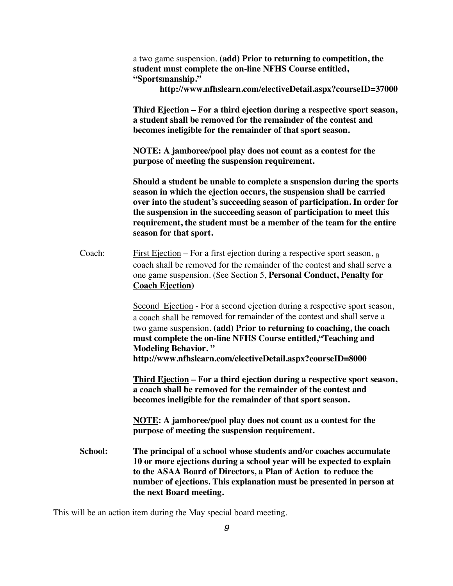|         | a two game suspension. (add) Prior to returning to competition, the<br>student must complete the on-line NFHS Course entitled,<br>"Sportsmanship."<br>http://www.nfhslearn.com/electiveDetail.aspx?courseID=37000                                                                                                                                                                                    |  |
|---------|------------------------------------------------------------------------------------------------------------------------------------------------------------------------------------------------------------------------------------------------------------------------------------------------------------------------------------------------------------------------------------------------------|--|
|         | Third Ejection - For a third ejection during a respective sport season,<br>a student shall be removed for the remainder of the contest and<br>becomes ineligible for the remainder of that sport season.                                                                                                                                                                                             |  |
|         | NOTE: A jamboree/pool play does not count as a contest for the<br>purpose of meeting the suspension requirement.                                                                                                                                                                                                                                                                                     |  |
|         | Should a student be unable to complete a suspension during the sports<br>season in which the ejection occurs, the suspension shall be carried<br>over into the student's succeeding season of participation. In order for<br>the suspension in the succeeding season of participation to meet this<br>requirement, the student must be a member of the team for the entire<br>season for that sport. |  |
| Coach:  | <u>First Ejection</u> – For a first ejection during a respective sport season, $a$<br>coach shall be removed for the remainder of the contest and shall serve a<br>one game suspension. (See Section 5, Personal Conduct, Penalty for<br><b>Coach Ejection</b> )                                                                                                                                     |  |
|         | Second Ejection - For a second ejection during a respective sport season,<br>a coach shall be removed for remainder of the contest and shall serve a<br>two game suspension. (add) Prior to returning to coaching, the coach<br>must complete the on-line NFHS Course entitled, "Teaching and<br><b>Modeling Behavior."</b><br>http://www.nfhslearn.com/electiveDetail.aspx?courseID=8000            |  |
|         | Third Ejection - For a third ejection during a respective sport season,<br>a coach shall be removed for the remainder of the contest and<br>becomes ineligible for the remainder of that sport season.                                                                                                                                                                                               |  |
|         | <b>NOTE:</b> A jamboree/pool play does not count as a contest for the<br>purpose of meeting the suspension requirement.                                                                                                                                                                                                                                                                              |  |
| School: | The principal of a school whose students and/or coaches accumulate<br>10 or more ejections during a school year will be expected to explain<br>to the ASAA Board of Directors, a Plan of Action to reduce the<br>number of ejections. This explanation must be presented in person at<br>the next Board meeting.                                                                                     |  |

This will be an action item during the May special board meeting.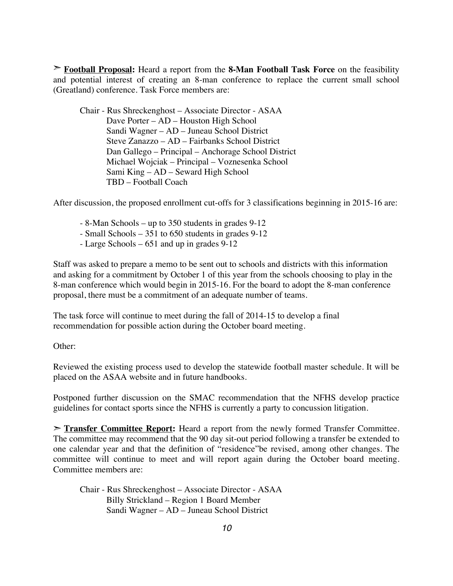➣ **Football Proposal:** Heard a report from the **8-Man Football Task Force** on the feasibility and potential interest of creating an 8-man conference to replace the current small school (Greatland) conference. Task Force members are:

Chair - Rus Shreckenghost – Associate Director - ASAA Dave Porter – AD – Houston High School Sandi Wagner – AD – Juneau School District Steve Zanazzo – AD – Fairbanks School District Dan Gallego – Principal – Anchorage School District Michael Wojciak – Principal – Voznesenka School Sami King – AD – Seward High School TBD – Football Coach

After discussion, the proposed enrollment cut-offs for 3 classifications beginning in 2015-16 are:

- 8-Man Schools up to 350 students in grades 9-12
- Small Schools 351 to 650 students in grades 9-12
- Large Schools 651 and up in grades 9-12

Staff was asked to prepare a memo to be sent out to schools and districts with this information and asking for a commitment by October 1 of this year from the schools choosing to play in the 8-man conference which would begin in 2015-16. For the board to adopt the 8-man conference proposal, there must be a commitment of an adequate number of teams.

The task force will continue to meet during the fall of 2014-15 to develop a final recommendation for possible action during the October board meeting.

Other:

Reviewed the existing process used to develop the statewide football master schedule. It will be placed on the ASAA website and in future handbooks.

Postponed further discussion on the SMAC recommendation that the NFHS develop practice guidelines for contact sports since the NFHS is currently a party to concussion litigation.

➣ **Transfer Committee Report:** Heard a report from the newly formed Transfer Committee. The committee may recommend that the 90 day sit-out period following a transfer be extended to one calendar year and that the definition of "residence"be revised, among other changes. The committee will continue to meet and will report again during the October board meeting. Committee members are:

Chair - Rus Shreckenghost – Associate Director - ASAA Billy Strickland – Region 1 Board Member Sandi Wagner – AD – Juneau School District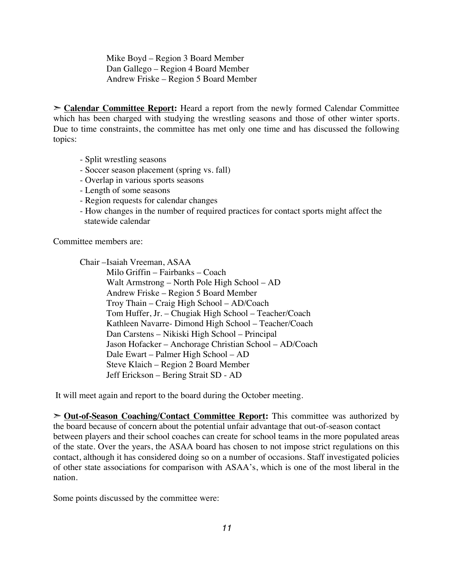Mike Boyd – Region 3 Board Member Dan Gallego – Region 4 Board Member Andrew Friske – Region 5 Board Member

➣ **Calendar Committee Report:** Heard a report from the newly formed Calendar Committee which has been charged with studying the wrestling seasons and those of other winter sports. Due to time constraints, the committee has met only one time and has discussed the following topics:

- Split wrestling seasons
- Soccer season placement (spring vs. fall)
- Overlap in various sports seasons
- Length of some seasons
- Region requests for calendar changes
- How changes in the number of required practices for contact sports might affect the statewide calendar

Committee members are:

Chair –Isaiah Vreeman, ASAA

Milo Griffin – Fairbanks – Coach Walt Armstrong – North Pole High School – AD Andrew Friske – Region 5 Board Member Troy Thain – Craig High School – AD/Coach Tom Huffer, Jr. – Chugiak High School – Teacher/Coach Kathleen Navarre- Dimond High School – Teacher/Coach Dan Carstens – Nikiski High School – Principal Jason Hofacker – Anchorage Christian School – AD/Coach Dale Ewart – Palmer High School – AD Steve Klaich – Region 2 Board Member Jeff Erickson – Bering Strait SD - AD

It will meet again and report to the board during the October meeting.

➣ **Out-of-Season Coaching/Contact Committee Report:** This committee was authorized by the board because of concern about the potential unfair advantage that out-of-season contact between players and their school coaches can create for school teams in the more populated areas of the state. Over the years, the ASAA board has chosen to not impose strict regulations on this contact, although it has considered doing so on a number of occasions. Staff investigated policies of other state associations for comparison with ASAA's, which is one of the most liberal in the nation.

Some points discussed by the committee were: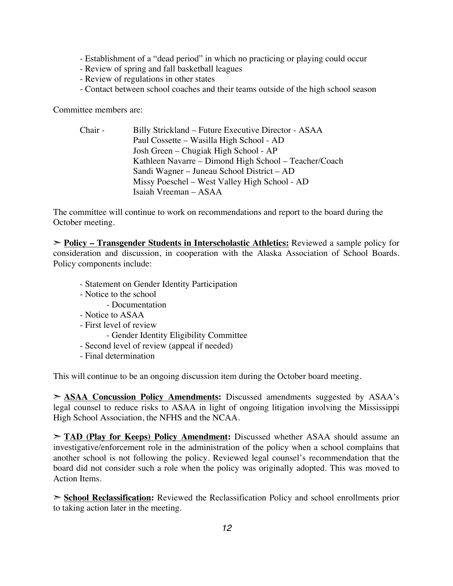- Establishment of a "dead period" in which no practicing or playing could occur
- Review of spring and fall basketball leagues
- Review of regulations in other states
- Contact between school coaches and their teams outside of the high school season

Committee members are:

Chair - Billy Strickland – Future Executive Director - ASAA Paul Cossette – Wasilla High School - AD Josh Green – Chugiak High School - AP Kathleen Navarre – Dimond High School – Teacher/Coach Sandi Wagner – Juneau School District – AD Missy Poeschel – West Valley High School - AD Isaiah Vreeman – ASAA

The committee will continue to work on recommendations and report to the board during the October meeting.

➣ **Policy – Transgender Students in Interscholastic Athletics:** Reviewed a sample policy for consideration and discussion, in cooperation with the Alaska Association of School Boards. Policy components include:

- Statement on Gender Identity Participation
- Notice to the school
	- Documentation
- Notice to ASAA
- First level of review
	- Gender Identity Eligibility Committee
- Second level of review (appeal if needed)
- Final determination

This will continue to be an ongoing discussion item during the October board meeting.

➣ **ASAA Concussion Policy Amendments:** Discussed amendments suggested by ASAA's legal counsel to reduce risks to ASAA in light of ongoing litigation involving the Mississippi High School Association, the NFHS and the NCAA.

➣ **TAD (Play for Keeps) Policy Amendment:** Discussed whether ASAA should assume an investigative/enforcement role in the administration of the policy when a school complains that another school is not following the policy. Reviewed legal counsel's recommendation that the board did not consider such a role when the policy was originally adopted. This was moved to Action Items.

➣ **School Reclassification:** Reviewed the Reclassification Policy and school enrollments prior to taking action later in the meeting.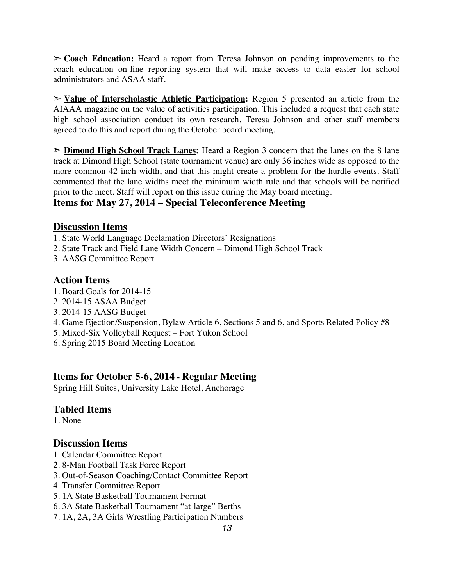➣ **Coach Education:** Heard a report from Teresa Johnson on pending improvements to the coach education on-line reporting system that will make access to data easier for school administrators and ASAA staff.

➣ **Value of Interscholastic Athletic Participation:** Region 5 presented an article from the AIAAA magazine on the value of activities participation. This included a request that each state high school association conduct its own research. Teresa Johnson and other staff members agreed to do this and report during the October board meeting.

➣ **Dimond High School Track Lanes:** Heard a Region 3 concern that the lanes on the 8 lane track at Dimond High School (state tournament venue) are only 36 inches wide as opposed to the more common 42 inch width, and that this might create a problem for the hurdle events. Staff commented that the lane widths meet the minimum width rule and that schools will be notified prior to the meet. Staff will report on this issue during the May board meeting.

# **Items for May 27, 2014 – Special Teleconference Meeting**

#### **Discussion Items**

- 1. State World Language Declamation Directors' Resignations
- 2. State Track and Field Lane Width Concern Dimond High School Track
- 3. AASG Committee Report

#### **Action Items**

- 1. Board Goals for 2014-15
- 2. 2014-15 ASAA Budget
- 3. 2014-15 AASG Budget
- 4. Game Ejection/Suspension, Bylaw Article 6, Sections 5 and 6, and Sports Related Policy #8
- 5. Mixed-Six Volleyball Request Fort Yukon School
- 6. Spring 2015 Board Meeting Location

## **Items for October 5-6, 2014 - Regular Meeting**

Spring Hill Suites, University Lake Hotel, Anchorage

#### **Tabled Items**

1. None

## **Discussion Items**

- 1. Calendar Committee Report
- 2. 8-Man Football Task Force Report
- 3. Out-of-Season Coaching/Contact Committee Report
- 4. Transfer Committee Report
- 5. 1A State Basketball Tournament Format
- 6. 3A State Basketball Tournament "at-large" Berths
- 7. 1A, 2A, 3A Girls Wrestling Participation Numbers